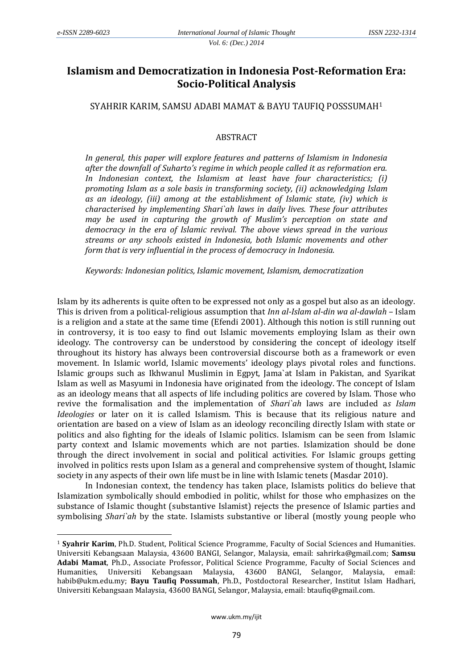**.** 

# **Islamism and Democratization in Indonesia Post-Reformation Era: Socio-Political Analysis**

SYAHRIR KARIM, SAMSU ADABI MAMAT & BAYU TAUFIQ POSSSUMAH<sup>1</sup>

## **ABSTRACT**

*In general, this paper will explore features and patterns of Islamism in Indonesia after the downfall of Suharto's regime in which people called it as reformation era. In Indonesian context, the Islamism at least have four characteristics; (i) promoting Islam as a sole basis in transforming society, (ii) acknowledging Islam as an ideology, (iii) among at the establishment of Islamic state, (iv) which is characterised by implementing Shari`ah laws in daily lives. These four attributes may be used in capturing the growth of Muslim's perception on state and democracy in the era of Islamic revival. The above views spread in the various streams or any schools existed in Indonesia, both Islamic movements and other form that is very influential in the process of democracy in Indonesia.* 

*Keywords: Indonesian politics, Islamic movement, Islamism, democratization*

Islam by its adherents is quite often to be expressed not only as a gospel but also as an ideology. This is driven from a political-religious assumption that *Inn al-Islam al-din wa al-dawlah* – Islam is a religion and a state at the same time (Efendi 2001). Although this notion is still running out in controversy, it is too easy to find out Islamic movements employing Islam as their own ideology. The controversy can be understood by considering the concept of ideology itself throughout its history has always been controversial discourse both as a framework or even movement. In Islamic world, Islamic movements' ideology plays pivotal roles and functions. Islamic groups such as Ikhwanul Muslimin in Egpyt, Jama`at Islam in Pakistan, and Syarikat Islam as well as Masyumi in Indonesia have originated from the ideology. The concept of Islam as an ideology means that all aspects of life including politics are covered by Islam. Those who revive the formalisation and the implementation of *Shari`ah* laws are included a*s Islam Ideologies* or later on it is called Islamism. This is because that its religious nature and orientation are based on a view of Islam as an ideology reconciling directly Islam with state or politics and also fighting for the ideals of Islamic politics. Islamism can be seen from Islamic party context and Islamic movements which are not parties. Islamization should be done through the direct involvement in social and political activities. For Islamic groups getting involved in politics rests upon Islam as a general and comprehensive system of thought, Islamic society in any aspects of their own life must be in line with Islamic tenets (Masdar 2010).

In Indonesian context, the tendency has taken place, Islamists politics do believe that Islamization symbolically should embodied in politic, whilst for those who emphasizes on the substance of Islamic thought (substantive Islamist) rejects the presence of Islamic parties and symbolising *Shari`ah* by the state. Islamists substantive or liberal (mostly young people who

<sup>1</sup> **Syahrir Karim**, Ph.D. Student, Political Science Programme, Faculty of Social Sciences and Humanities. Universiti Kebangsaan Malaysia, 43600 BANGI, Selangor, Malaysia, email: [sahrirka@gmail.com;](mailto:sahrirka@gmail.com) **Samsu Adabi Mamat**, Ph.D., Associate Professor, Political Science Programme, Faculty of Social Sciences and Humanities, Universiti Kebangsaan Malaysia, 43600 BANGI, Selangor, Malaysia, email: habib@ukm.edu.my; **Bayu Taufiq Possumah**, Ph.D., Postdoctoral Researcher, Institut Islam Hadhari, Universiti Kebangsaan Malaysia, 43600 BANGI, Selangor, Malaysia, email: btaufiq@gmail.com.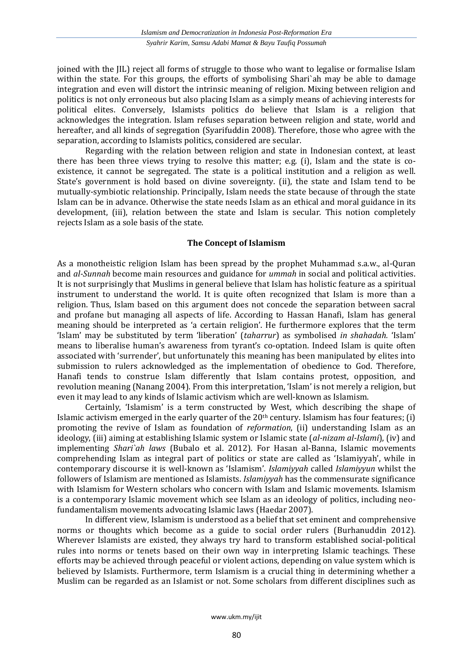joined with the JIL) reject all forms of struggle to those who want to legalise or formalise Islam within the state. For this groups, the efforts of symbolising Shari`ah may be able to damage integration and even will distort the intrinsic meaning of religion. Mixing between religion and politics is not only erroneous but also placing Islam as a simply means of achieving interests for political elites. Conversely, Islamists politics do believe that Islam is a religion that acknowledges the integration. Islam refuses separation between religion and state, world and hereafter, and all kinds of segregation (Syarifuddin 2008). Therefore, those who agree with the separation, according to Islamists politics, considered are secular.

Regarding with the relation between religion and state in Indonesian context, at least there has been three views trying to resolve this matter; e.g. (i), Islam and the state is coexistence, it cannot be segregated. The state is a political institution and a religion as well. State's government is hold based on divine sovereignty. (ii), the state and Islam tend to be mutually-symbiotic relationship. Principally, Islam needs the state because of through the state Islam can be in advance. Otherwise the state needs Islam as an ethical and moral guidance in its development, (iii), relation between the state and Islam is secular. This notion completely rejects Islam as a sole basis of the state.

## **The Concept of Islamism**

As a monotheistic religion Islam has been spread by the prophet Muhammad s.a.w., al-Quran and *al-Sunnah* become main resources and guidance for *ummah* in social and political activities. It is not surprisingly that Muslims in general believe that Islam has holistic feature as a spiritual instrument to understand the world. It is quite often recognized that Islam is more than a religion. Thus, Islam based on this argument does not concede the separation between sacral and profane but managing all aspects of life. According to Hassan Hanafi, Islam has general meaning should be interpreted as 'a certain religion'. He furthermore explores that the term 'Islam' may be substituted by term 'liberation' (*taharrur*) as symbolised *in shahadah.* 'Islam' means to liberalise human's awareness from tyrant's co-optation. Indeed Islam is quite often associated with 'surrender', but unfortunately this meaning has been manipulated by elites into submission to rulers acknowledged as the implementation of obedience to God. Therefore, Hanafi tends to construe Islam differently that Islam contains protest, opposition, and revolution meaning (Nanang 2004). From this interpretation, 'Islam' is not merely a religion, but even it may lead to any kinds of Islamic activism which are well-known as Islamism.

Certainly, 'Islamism' is a term constructed by West, which describing the shape of Islamic activism emerged in the early quarter of the  $20<sup>th</sup>$  century. Islamism has four features; (i) promoting the revive of Islam as foundation of *reformation*, (ii) understanding Islam as an ideology, (iii) aiming at establishing Islamic system or Islamic state (*al-nizam al-Islami*), (iv) and implementing *Shari`ah laws* (Bubalo et al. 2012). For Hasan al-Banna, Islamic movements comprehending Islam as integral part of politics or state are called as 'Islamiyyah', while in contemporary discourse it is well-known as 'Islamism'. *Islamiyyah* called *Islamiyyun* whilst the followers of Islamism are mentioned as Islamists. *Islamiyyah* has the commensurate significance with Islamism for Western scholars who concern with Islam and Islamic movements. Islamism is a contemporary Islamic movement which see Islam as an ideology of politics, including neofundamentalism movements advocating Islamic laws (Haedar 2007).

In different view, Islamism is understood as a belief that set eminent and comprehensive norms or thoughts which become as a guide to social order rulers (Burhanuddin 2012). Wherever Islamists are existed, they always try hard to transform established social-political rules into norms or tenets based on their own way in interpreting Islamic teachings. These efforts may be achieved through peaceful or violent actions, depending on value system which is believed by Islamists. Furthermore, term Islamism is a crucial thing in determining whether a Muslim can be regarded as an Islamist or not. Some scholars from different disciplines such as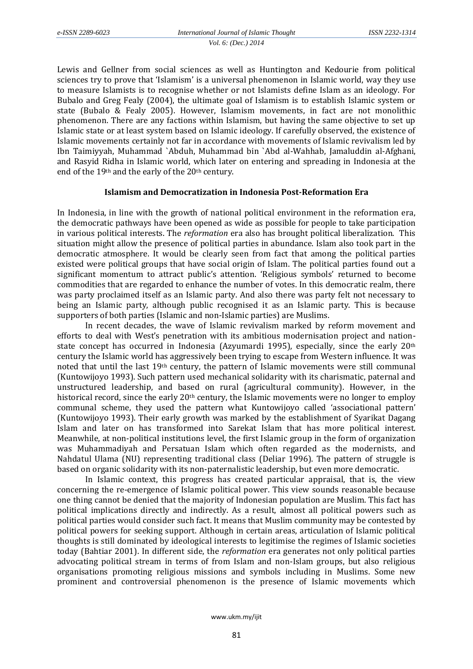Lewis and Gellner from social sciences as well as Huntington and Kedourie from political sciences try to prove that 'Islamism' is a universal phenomenon in Islamic world, way they use to measure Islamists is to recognise whether or not Islamists define Islam as an ideology. For Bubalo and Greg Fealy (2004), the ultimate goal of Islamism is to establish Islamic system or state (Bubalo & Fealy 2005). However, Islamism movements, in fact are not monolithic phenomenon. There are any factions within Islamism, but having the same objective to set up Islamic state or at least system based on Islamic ideology. If carefully observed, the existence of Islamic movements certainly not far in accordance with movements of Islamic revivalism led by Ibn Taimiyyah, Muhammad `Abduh, Muhammad bin `Abd al-Wahhab, Jamaluddin al-Afghani, and Rasyid Ridha in Islamic world, which later on entering and spreading in Indonesia at the end of the 19th and the early of the 20th century.

### **Islamism and Democratization in Indonesia Post-Reformation Era**

In Indonesia, in line with the growth of national political environment in the reformation era, the democratic pathways have been opened as wide as possible for people to take participation in various political interests. The *reformation* era also has brought political liberalization. This situation might allow the presence of political parties in abundance. Islam also took part in the democratic atmosphere. It would be clearly seen from fact that among the political parties existed were political groups that have social origin of Islam. The political parties found out a significant momentum to attract public's attention. 'Religious symbols' returned to become commodities that are regarded to enhance the number of votes. In this democratic realm, there was party proclaimed itself as an Islamic party. And also there was party felt not necessary to being an Islamic party, although public recognised it as an Islamic party. This is because supporters of both parties (Islamic and non-Islamic parties) are Muslims.

In recent decades, the wave of Islamic revivalism marked by reform movement and efforts to deal with West's penetration with its ambitious modernisation project and nationstate concept has occurred in Indonesia (Azyumardi 1995), especially, since the early 20th century the Islamic world has aggressively been trying to escape from Western influence. It was noted that until the last 19th century, the pattern of Islamic movements were still communal (Kuntowijoyo 1993). Such pattern used mechanical solidarity with its charismatic, paternal and unstructured leadership, and based on rural (agricultural community). However, in the historical record, since the early 20<sup>th</sup> century, the Islamic movements were no longer to employ communal scheme, they used the pattern what Kuntowijoyo called 'associational pattern' (Kuntowijoyo 1993). Their early growth was marked by the establishment of Syarikat Dagang Islam and later on has transformed into Sarekat Islam that has more political interest. Meanwhile, at non-political institutions level, the first Islamic group in the form of organization was Muhammadiyah and Persatuan Islam which often regarded as the modernists, and Nahdatul Ulama (NU) representing traditional class (Deliar 1996). The pattern of struggle is based on organic solidarity with its non-paternalistic leadership, but even more democratic.

In Islamic context, this progress has created particular appraisal, that is, the view concerning the re-emergence of Islamic political power. This view sounds reasonable because one thing cannot be denied that the majority of Indonesian population are Muslim. This fact has political implications directly and indirectly. As a result, almost all political powers such as political parties would consider such fact. It means that Muslim community may be contested by political powers for seeking support. Although in certain areas, articulation of Islamic political thoughts is still dominated by ideological interests to legitimise the regimes of Islamic societies today (Bahtiar 2001). In different side, the *reformation* era generates not only political parties advocating political stream in terms of from Islam and non-Islam groups, but also religious organisations promoting religious missions and symbols including in Muslims. Some new prominent and controversial phenomenon is the presence of Islamic movements which

www.ukm.my/ijit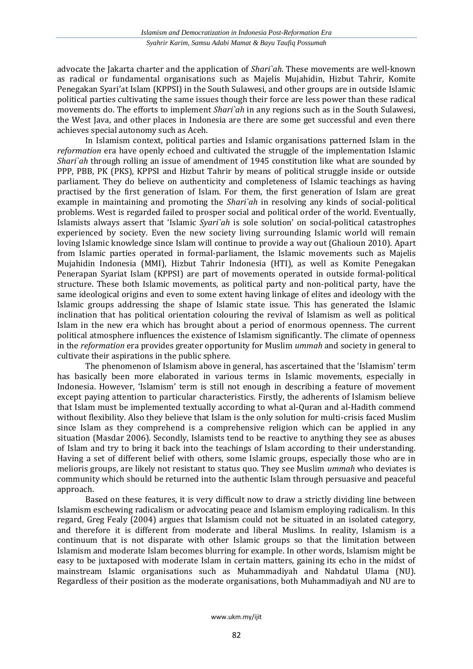advocate the Jakarta charter and the application of *Shari`ah*. These movements are well-known as radical or fundamental organisations such as Majelis Mujahidin, Hizbut Tahrir, Komite Penegakan Syari'at Islam (KPPSI) in the South Sulawesi, and other groups are in outside Islamic political parties cultivating the same issues though their force are less power than these radical movements do. The efforts to implement *Shari`ah* in any regions such as in the South Sulawesi, the West Java, and other places in Indonesia are there are some get successful and even there achieves special autonomy such as Aceh.

In Islamism context, political parties and Islamic organisations patterned Islam in the *reformation* era have openly echoed and cultivated the struggle of the implementation Islamic *Shari`ah* through rolling an issue of amendment of 1945 constitution like what are sounded by PPP, PBB, PK (PKS), KPPSI and Hizbut Tahrir by means of political struggle inside or outside parliament. They do believe on authenticity and completeness of Islamic teachings as having practised by the first generation of Islam. For them, the first generation of Islam are great example in maintaining and promoting the *Shari`ah* in resolving any kinds of social-political problems. West is regarded failed to prosper social and political order of the world. Eventually, Islamists always assert that 'Islamic *Syari`ah* is sole solution' on social-political catastrophes experienced by society. Even the new society living surrounding Islamic world will remain loving Islamic knowledge since Islam will continue to provide a way out (Ghalioun 2010). Apart from Islamic parties operated in formal-parliament, the Islamic movements such as Majelis Mujahidin Indonesia (MMI), Hizbut Tahrir Indonesia (HTI), as well as Komite Penegakan Penerapan Syariat Islam (KPPSI) are part of movements operated in outside formal-political structure. These both Islamic movements, as political party and non-political party, have the same ideological origins and even to some extent having linkage of elites and ideology with the Islamic groups addressing the shape of Islamic state issue. This has generated the Islamic inclination that has political orientation colouring the revival of Islamism as well as political Islam in the new era which has brought about a period of enormous openness. The current political atmosphere influences the existence of Islamism significantly. The climate of openness in the *reformation* era provides greater opportunity for Muslim *ummah* and society in general to cultivate their aspirations in the public sphere.

The phenomenon of Islamism above in general, has ascertained that the 'Islamism' term has basically been more elaborated in various terms in Islamic movements, especially in Indonesia. However, 'Islamism' term is still not enough in describing a feature of movement except paying attention to particular characteristics. Firstly, the adherents of Islamism believe that Islam must be implemented textually according to what al-Quran and al-Hadith commend without flexibility. Also they believe that Islam is the only solution for multi-crisis faced Muslim since Islam as they comprehend is a comprehensive religion which can be applied in any situation (Masdar 2006). Secondly, Islamists tend to be reactive to anything they see as abuses of Islam and try to bring it back into the teachings of Islam according to their understanding. Having a set of different belief with others, some Islamic groups, especially those who are in melioris groups, are likely not resistant to status quo. They see Muslim *ummah* who deviates is community which should be returned into the authentic Islam through persuasive and peaceful approach.

Based on these features, it is very difficult now to draw a strictly dividing line between Islamism eschewing radicalism or advocating peace and Islamism employing radicalism. In this regard, Greg Fealy (2004) argues that Islamism could not be situated in an isolated category, and therefore it is different from moderate and liberal Muslims. In reality, Islamism is a continuum that is not disparate with other Islamic groups so that the limitation between Islamism and moderate Islam becomes blurring for example. In other words, Islamism might be easy to be juxtaposed with moderate Islam in certain matters, gaining its echo in the midst of mainstream Islamic organisations such as Muhammadiyah and Nahdatul Ulama (NU). Regardless of their position as the moderate organisations, both Muhammadiyah and NU are to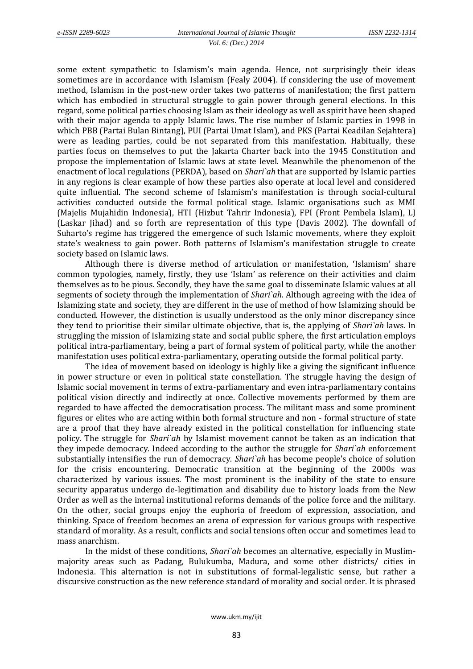some extent sympathetic to Islamism's main agenda. Hence, not surprisingly their ideas sometimes are in accordance with Islamism (Fealy 2004). If considering the use of movement method, Islamism in the post-new order takes two patterns of manifestation; the first pattern which has embodied in structural struggle to gain power through general elections. In this regard, some political parties choosing Islam as their ideology as well as spirit have been shaped with their major agenda to apply Islamic laws. The rise number of Islamic parties in 1998 in which PBB (Partai Bulan Bintang), PUI (Partai Umat Islam), and PKS (Partai Keadilan Sejahtera) were as leading parties, could be not separated from this manifestation. Habitually, these parties focus on themselves to put the Jakarta Charter back into the 1945 Constitution and propose the implementation of Islamic laws at state level. Meanwhile the phenomenon of the enactment of local regulations (PERDA), based on *Shari`ah* that are supported by Islamic parties in any regions is clear example of how these parties also operate at local level and considered quite influential. The second scheme of Islamism's manifestation is through social-cultural activities conducted outside the formal political stage. Islamic organisations such as MMI (Majelis Mujahidin Indonesia), HTI (Hizbut Tahrir Indonesia), FPI (Front Pembela Islam), LJ (Laskar Jihad) and so forth are representation of this type (Davis 2002). The downfall of Suharto's regime has triggered the emergence of such Islamic movements, where they exploit state's weakness to gain power. Both patterns of Islamism's manifestation struggle to create society based on Islamic laws.

Although there is diverse method of articulation or manifestation, 'Islamism' share common typologies, namely, firstly, they use 'Islam' as reference on their activities and claim themselves as to be pious. Secondly, they have the same goal to disseminate Islamic values at all segments of society through the implementation of *Shari`ah*. Although agreeing with the idea of Islamizing state and society, they are different in the use of method of how Islamizing should be conducted. However, the distinction is usually understood as the only minor discrepancy since they tend to prioritise their similar ultimate objective, that is, the applying of *Shari`ah* laws. In struggling the mission of Islamizing state and social public sphere, the first articulation employs political intra-parliamentary, being a part of formal system of political party, while the another manifestation uses political extra-parliamentary, operating outside the formal political party.

The idea of movement based on ideology is highly like a giving the significant influence in power structure or even in political state constellation. The struggle having the design of Islamic social movement in terms of extra-parliamentary and even intra-parliamentary contains political vision directly and indirectly at once. Collective movements performed by them are regarded to have affected the democratisation process. The militant mass and some prominent figures or elites who are acting within both formal structure and non - formal structure of state are a proof that they have already existed in the political constellation for influencing state policy. The struggle for *Shari`ah* by Islamist movement cannot be taken as an indication that they impede democracy. Indeed according to the author the struggle for *Shari`ah* enforcement substantially intensifies the run of democracy. *Shari`ah* has become people's choice of solution for the crisis encountering. Democratic transition at the beginning of the 2000s was characterized by various issues. The most prominent is the inability of the state to ensure security apparatus undergo de-legitimation and disability due to history loads from the New Order as well as the internal institutional reforms demands of the police force and the military. On the other, social groups enjoy the euphoria of freedom of expression, association, and thinking. Space of freedom becomes an arena of expression for various groups with respective standard of morality. As a result, conflicts and social tensions often occur and sometimes lead to mass anarchism.

In the midst of these conditions, *Shari`ah* becomes an alternative, especially in Muslimmajority areas such as Padang, Bulukumba, Madura, and some other districts/ cities in Indonesia. This alternation is not in substitutions of formal-legalistic sense, but rather a discursive construction as the new reference standard of morality and social order. It is phrased

www.ukm.my/ijit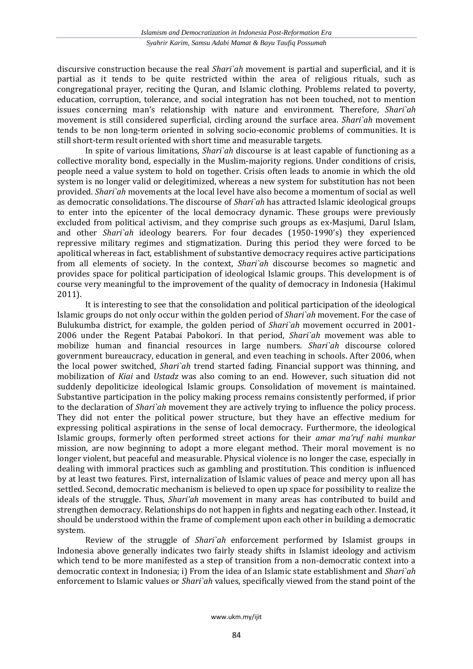discursive construction because the real *Shari`ah* movement is partial and superficial, and it is partial as it tends to be quite restricted within the area of religious rituals, such as congregational prayer, reciting the Quran, and Islamic clothing. Problems related to poverty, education, corruption, tolerance, and social integration has not been touched, not to mention issues concerning man's relationship with nature and environment. Therefore, *Shari`ah*  movement is still considered superficial, circling around the surface area. *Shari`ah* movement tends to be non long-term oriented in solving socio-economic problems of communities. It is still short-term result oriented with short time and measurable targets.

In spite of various limitations, *Shari`ah* discourse is at least capable of functioning as a collective morality bond, especially in the Muslim-majority regions. Under conditions of crisis, people need a value system to hold on together. Crisis often leads to anomie in which the old system is no longer valid or delegitimized, whereas a new system for substitution has not been provided. *Shari`ah* movements at the local level have also become a momentum of social as well as democratic consolidations. The discourse of *Shari`ah* has attracted Islamic ideological groups to enter into the epicenter of the local democracy dynamic. These groups were previously excluded from political activism, and they comprise such groups as ex-Masjumi*,* Darul Islam, and other *Shari`ah* ideology bearers. For four decades (1950-1990's) they experienced repressive military regimes and stigmatization. During this period they were forced to be apolitical whereas in fact, establishment of substantive democracy requires active participations from all elements of society. In the context, *Shari`ah* discourse becomes so magnetic and provides space for political participation of ideological Islamic groups. This development is of course very meaningful to the improvement of the quality of democracy in Indonesia (Hakimul 2011).

It is interesting to see that the consolidation and political participation of the ideological Islamic groups do not only occur within the golden period of *Shari`ah* movement. For the case of Bulukumba district, for example, the golden period of *Shari`ah* movement occurred in 2001- 2006 under the Regent Patabai Pabokori. In that period, *Shari`ah* movement was able to mobilize human and financial resources in large numbers. *Shari`ah* discourse colored government bureaucracy, education in general, and even teaching in schools. After 2006, when the local power switched, *Shari`ah* trend started fading. Financial support was thinning, and mobilization of *Kiai* and *Ustadz* was also coming to an end. However, such situation did not suddenly depoliticize ideological Islamic groups. Consolidation of movement is maintained. Substantive participation in the policy making process remains consistently performed, if prior to the declaration of *Shari`ah* movement they are actively trying to influence the policy process. They did not enter the political power structure, but they have an effective medium for expressing political aspirations in the sense of local democracy. Furthermore, the ideological Islamic groups, formerly often performed street actions for their *amar ma'ruf nahi munkar* mission, are now beginning to adopt a more elegant method. Their moral movement is no longer violent, but peaceful and measurable. Physical violence is no longer the case, especially in dealing with immoral practices such as gambling and prostitution. This condition is influenced by at least two features. First, internalization of Islamic values of peace and mercy upon all has settled. Second, democratic mechanism is believed to open up space for possibility to realize the ideals of the struggle. Thus, *Shari'ah* movement in many areas has contributed to build and strengthen democracy. Relationships do not happen in fights and negating each other. Instead, it should be understood within the frame of complement upon each other in building a democratic system.

Review of the struggle of *Shari`ah* enforcement performed by Islamist groups in Indonesia above generally indicates two fairly steady shifts in Islamist ideology and activism which tend to be more manifested as a step of transition from a non-democratic context into a democratic context in Indonesia; i) From the idea of an Islamic state establishment and *Shari`ah* enforcement to Islamic values or *Shari`ah* values, specifically viewed from the stand point of the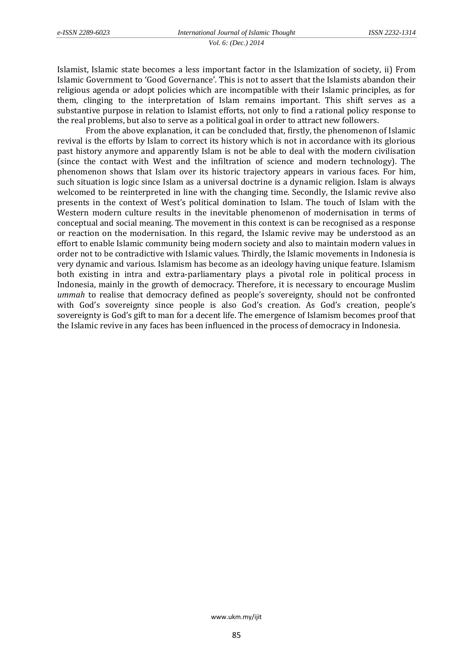Islamist, Islamic state becomes a less important factor in the Islamization of society, ii) From Islamic Government to 'Good Governance'. This is not to assert that the Islamists abandon their religious agenda or adopt policies which are incompatible with their Islamic principles, as for them, clinging to the interpretation of Islam remains important. This shift serves as a substantive purpose in relation to Islamist efforts, not only to find a rational policy response to the real problems, but also to serve as a political goal in order to attract new followers.

From the above explanation, it can be concluded that, firstly, the phenomenon of Islamic revival is the efforts by Islam to correct its history which is not in accordance with its glorious past history anymore and apparently Islam is not be able to deal with the modern civilisation (since the contact with West and the infiltration of science and modern technology). The phenomenon shows that Islam over its historic trajectory appears in various faces. For him, such situation is logic since Islam as a universal doctrine is a dynamic religion. Islam is always welcomed to be reinterpreted in line with the changing time. Secondly, the Islamic revive also presents in the context of West's political domination to Islam. The touch of Islam with the Western modern culture results in the inevitable phenomenon of modernisation in terms of conceptual and social meaning. The movement in this context is can be recognised as a response or reaction on the modernisation. In this regard, the Islamic revive may be understood as an effort to enable Islamic community being modern society and also to maintain modern values in order not to be contradictive with Islamic values. Thirdly, the Islamic movements in Indonesia is very dynamic and various. Islamism has become as an ideology having unique feature. Islamism both existing in intra and extra-parliamentary plays a pivotal role in political process in Indonesia, mainly in the growth of democracy. Therefore, it is necessary to encourage Muslim *ummah* to realise that democracy defined as people's sovereignty, should not be confronted with God's sovereignty since people is also God's creation. As God's creation, people's sovereignty is God's gift to man for a decent life. The emergence of Islamism becomes proof that the Islamic revive in any faces has been influenced in the process of democracy in Indonesia.